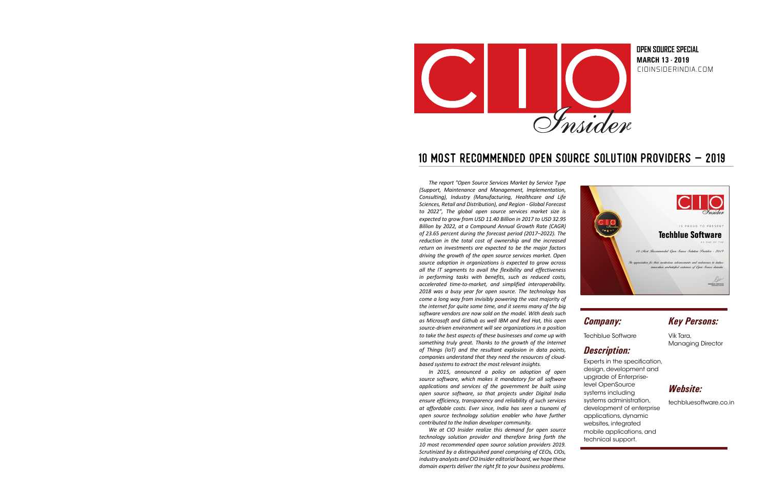

CIOINSIDERINDIA.COM **MARCH 13 - 2019 OPEN SOURCE SPECIAL**

# 10 MOST RECOMMENDED OPEN SOURCE SOLUTION PROVIDERS - 2019

*The report "Open Source Services Market by Service Type (Support, Maintenance and Management, Implementation, Consulting), Industry (Manufacturing, Healthcare and Life Sciences, Retail and Distribution), and Region - Global Forecast to 2022", The global open source services market size is expected to grow from USD 11.40 Billion in 2017 to USD 32.95 Billion by 2022, at a Compound Annual Growth Rate (CAGR) of 23.65 percent during the forecast period (2017–2022). The reduction in the total cost of ownership and the increased return on investments are expected to be the major factors driving the growth of the open source services market. Open source adoption in organizations is expected to grow across all the IT segments to avail the flexibility and effectiveness in performing tasks with benefits, such as reduced costs, accelerated time-to-market, and simplified interoperability. 2018 was a busy year for open source. The technology has come a long way from invisibly powering the vast majority of the internet for quite some time, and it seems many of the big software vendors are now sold on the model. With deals such as Microsoft and Github as well IBM and Red Hat, this open source-driven environment will see organizations in a position to take the best aspects of these businesses and come up with something truly great. Thanks to the growth of the Internet of Things (IoT) and the resultant explosion in data points, companies understand that they need the resources of cloudbased systems to extract the most relevant insights.*

*In 2015, announced a policy on adoption of open source software, which makes it mandatory for all software applications and services of the government be built using open source software, so that projects under Digital India ensure efficiency, transparency and reliability of such services at affordable costs. Ever since, India has seen a tsunami of open source technology solution enabler who have further contributed to the Indian developer community.* 

domain experts deliver the right fit to your business problems. *We at CIO Insider realize this demand for open source technology solution provider and therefore bring forth the 10 most recommended open source solution providers 2019. Scrutinized by a distinguished panel comprising of CEOs, CIOs, industry analysts and CIO Insider editorial board, we hope these* 



## *Company:*

Techblue Software

## *Description:*

Experts in the specification, design, development and upgrade of Enterpriselevel OpenSource systems including systems administration, development of enterprise applications, dynamic websites, integrated mobile applications, and technical support.

### *Key Persons:*

Vik Tara, Managing Director

## *Website:*

techbluesoftware.co.in